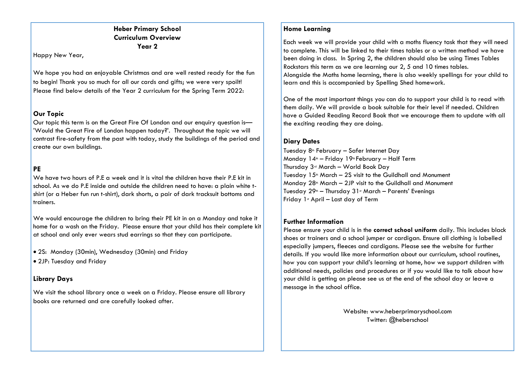# **Heber Primary School Curriculum Overview Year 2**

Happy New Year,

We hope you had an enjoyable Christmas and are well rested ready for the fun to begin! Thank you so much for all our cards and gifts; we were very spoilt! Please find below details of the Year 2 curriculum for the Spring Term 2022:

# **Our Topic**

Our topic this term is on the Great Fire Of London and our enquiry question is— 'Would the Great Fire of London happen today?'. Throughout the topic we will contrast fire-safety from the past with today, study the buildings of the period and create our own buildings.

# **PE**

We have two hours of P.E a week and it is vital the children have their P.E kit in school. As we do P.E inside and outside the children need to have: a plain white tshirt (or a Heber fun run t-shirt), dark shorts, a pair of dark tracksuit bottoms and trainers.

We would encourage the children to bring their PE kit in on a Monday and take it home for a wash on the Friday. Please ensure that your child has their complete kit at school and only ever wears stud earrings so that they can participate.

- 2S: Monday (30min), Wednesday (30min) and Friday
- 2JP: Tuesday and Friday

# **Library Days**

We visit the school library once a week on a Friday. Please ensure all library books are returned and are carefully looked after.

# **Home Learning**

Each week we will provide your child with a moths fluency task that they will need to complete. This will be linked to their times tables or a written method we have been doing in class. In Spring 2, the children should also be using Times Tables Rockstars this term as we are learning our 2, 5 and 10 times tables. Alongside the Maths home learning, there is also weekly spellings for your child to learn and this is accompanied by Spelling Shed homework.

One of the most important things you can do to support your child is to read with them daily. We will provide a book suitable for their level if needed. Children have a Guided Reading Record Book that we encourage them to update with all the exciting reading they are doing.

# **Diary Dates**

Tuesday 8<sup>th</sup> February – Safer Internet Day Monday  $14^{\text{th}}$  – Friday 19<sup>th</sup> February – Half Term Thursday 3rd March – World Book Day Tuesday  $15$ <sup>th</sup> March – 2S visit to the Guildhall and Monument Monday  $28<sup>th</sup>$  March – 2JP visit to the Guildhall and Monument Tuesday  $29<sup>th</sup>$  – Thursday  $31<sup>st</sup>$  March – Parents' Evenings Friday  $1$ <sup>s</sup> April – Last day of Term

# **Further Information**

Please ensure your child is in the **correct school uniform** daily. This includes black shoes or trainers and a school jumper or cardigan. Ensure all clothing is labelled especially jumpers, fleeces and cardigans. Please see the website for further details. If you would like more information about our curriculum, school routines, how you can support your child's learning at home, how we support children with additional needs, policies and procedures or if you would like to talk about how your child is getting on please see us at the end of the school day or leave a message in the school office.

> Website: www.heberprimaryschool.com Twitter: @heberschool